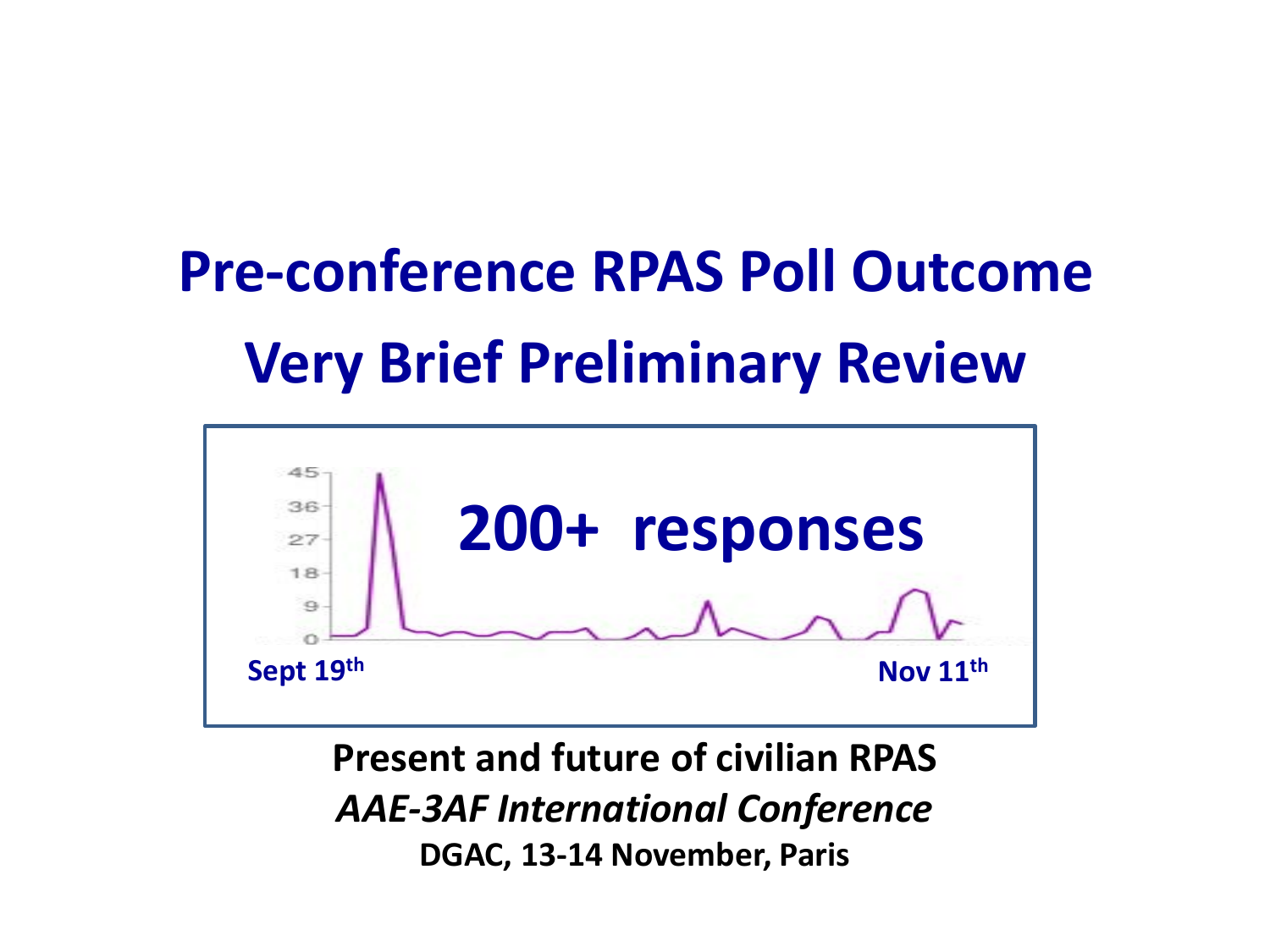# **Pre-conference RPAS Poll Outcome Very Brief Preliminary Review**



**Present and future of civilian RPAS** *AAE-3AF International Conference* **DGAC, 13-14 November, Paris**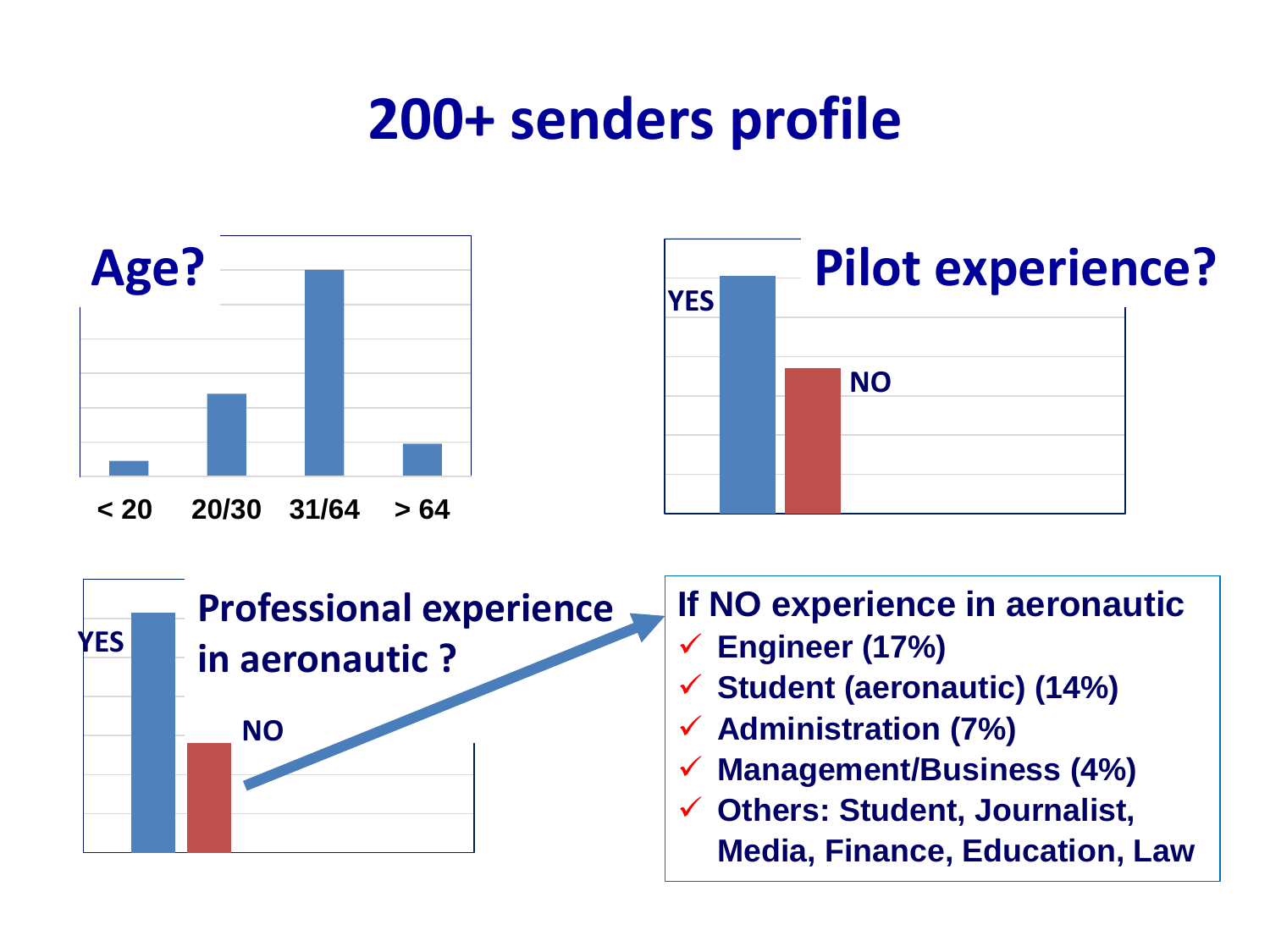## **200+ senders profile**





**Professional experience in aeronautic ? YES NO**

#### **If NO experience in aeronautic**

- **Engineer (17%)**
- **Student (aeronautic) (14%)**
- **Administration (7%)**
- **Management/Business (4%)**
- **Others: Student, Journalist, Media, Finance, Education, Law**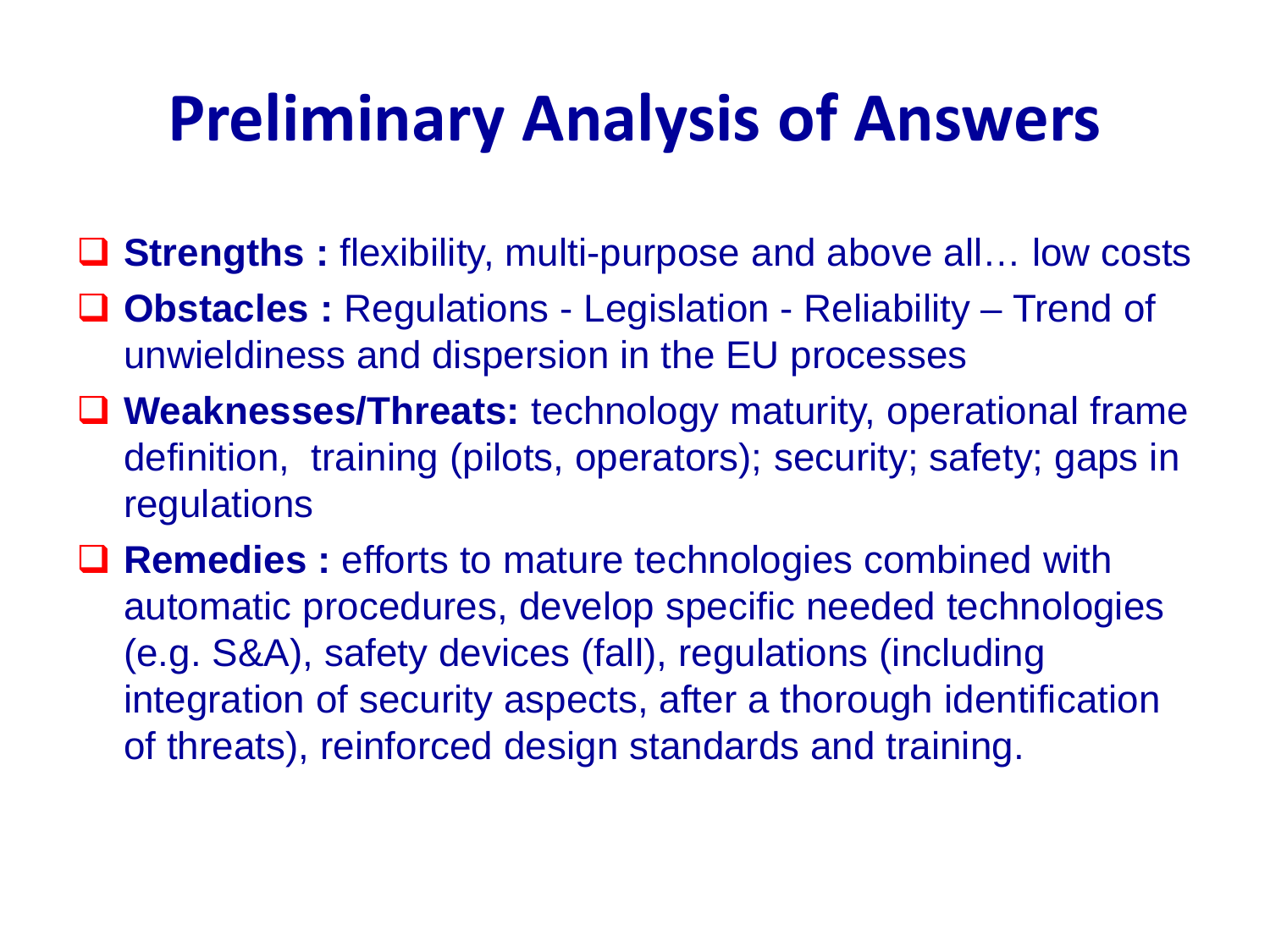## **Preliminary Analysis of Answers**

- **Strengths :** flexibility, multi-purpose and above all… low costs
- **Obstacles :** Regulations Legislation Reliability Trend of unwieldiness and dispersion in the EU processes
- **Weaknesses/Threats:** technology maturity, operational frame definition, training (pilots, operators); security; safety; gaps in regulations
- **Remedies** : efforts to mature technologies combined with automatic procedures, develop specific needed technologies (e.g. S&A), safety devices (fall), regulations (including integration of security aspects, after a thorough identification of threats), reinforced design standards and training.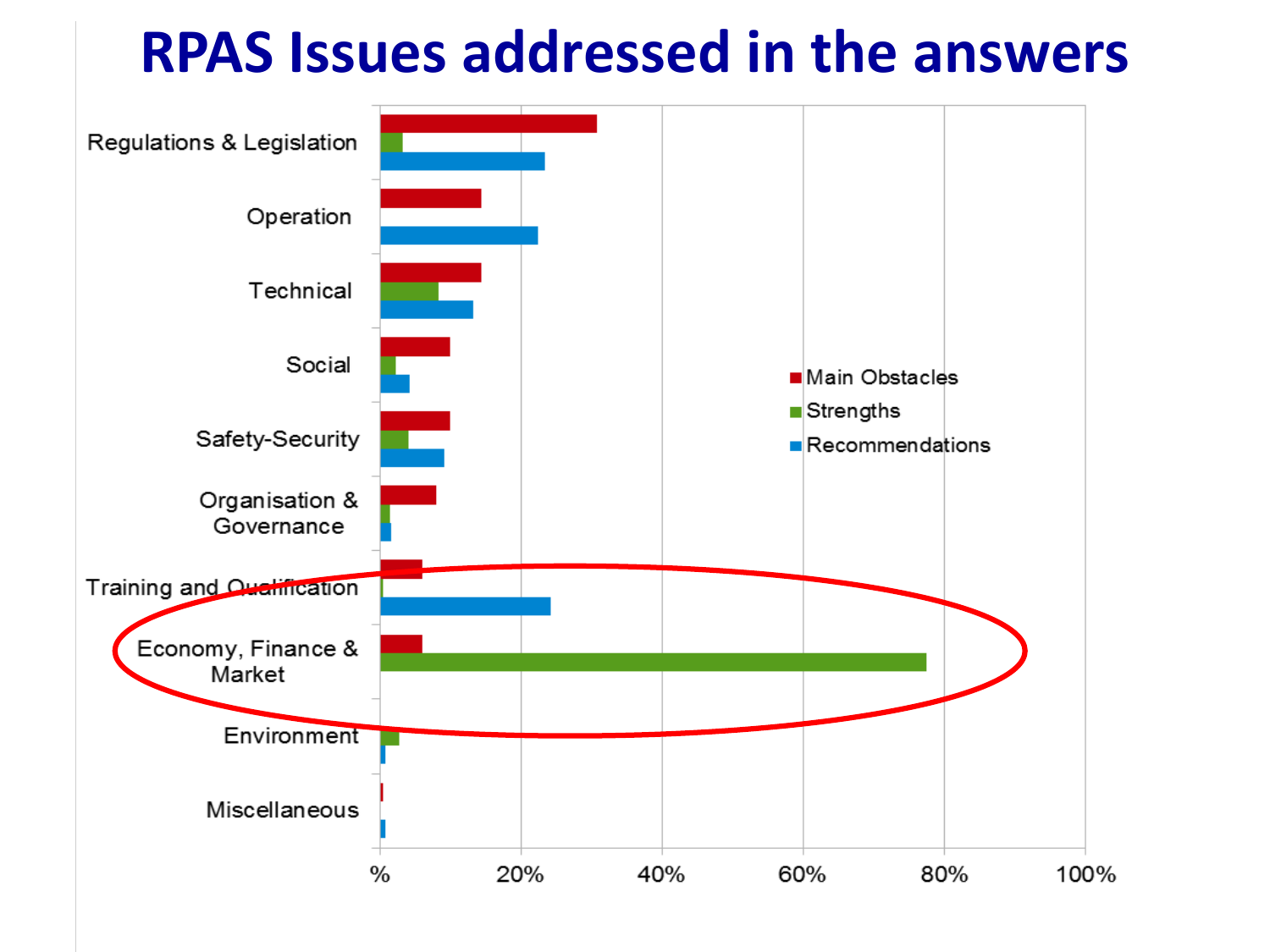### **RPAS Issues addressed in the answers**

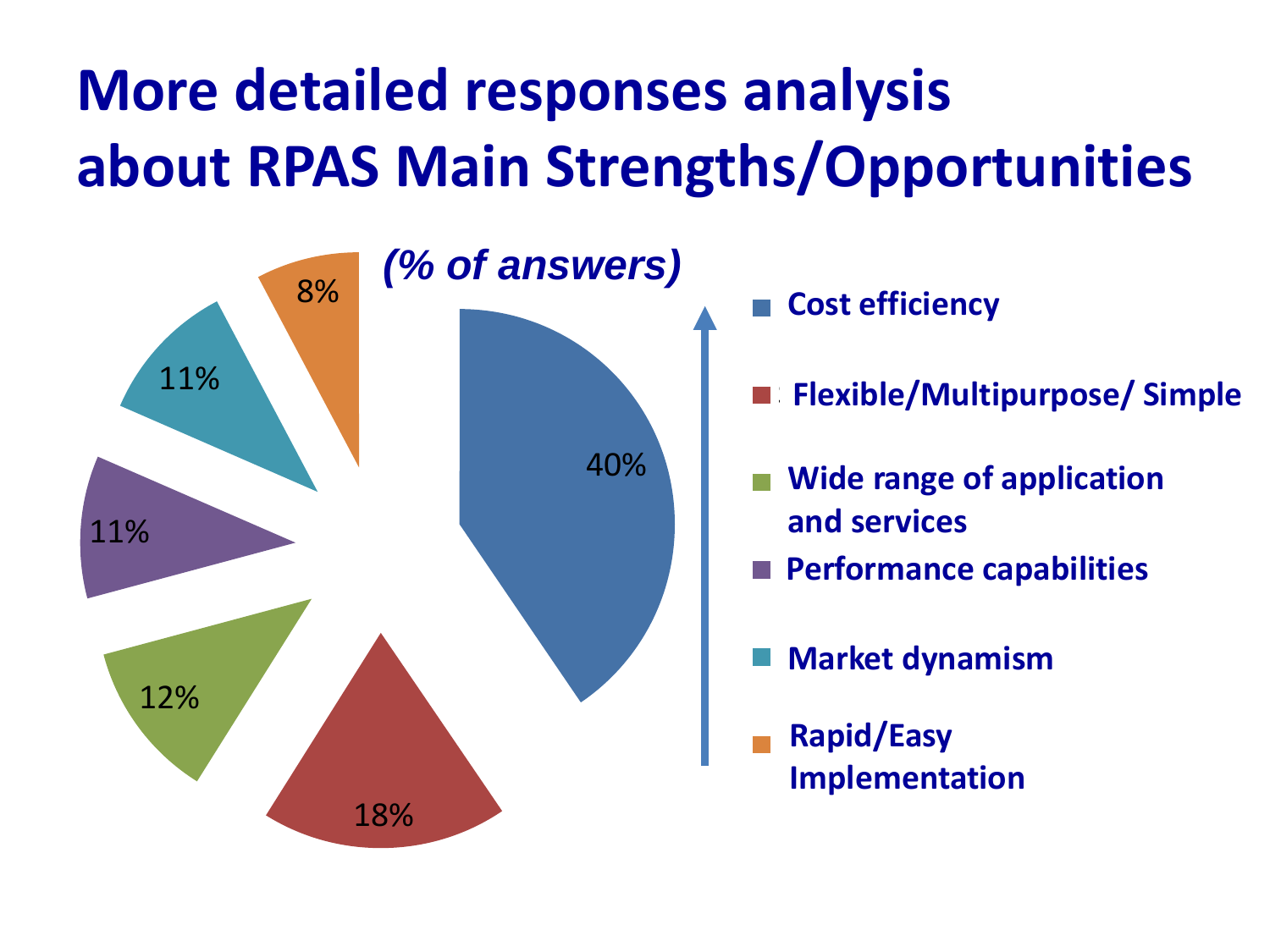## **More detailed responses analysis about RPAS Main Strengths/Opportunities**



- 
- **Flexible/Multipurpose/ Simple**
- **Wide range of application** and services
- Performance-Capabilities **Performance capabilities**
- **Market dynamism**
- Rapid/Easy **Rapid/Easy** Implementation **Implementation**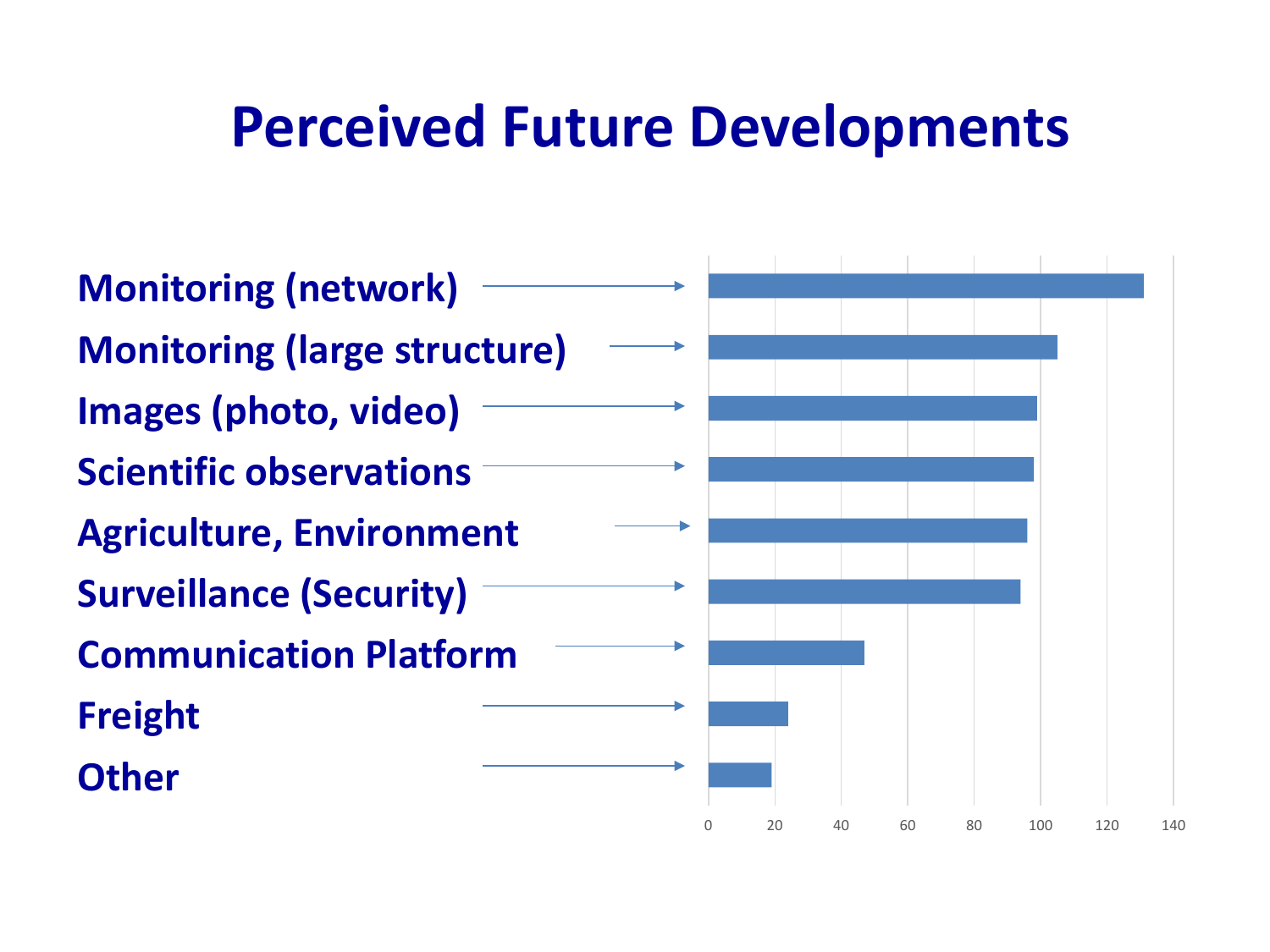### **Perceived Future Developments**